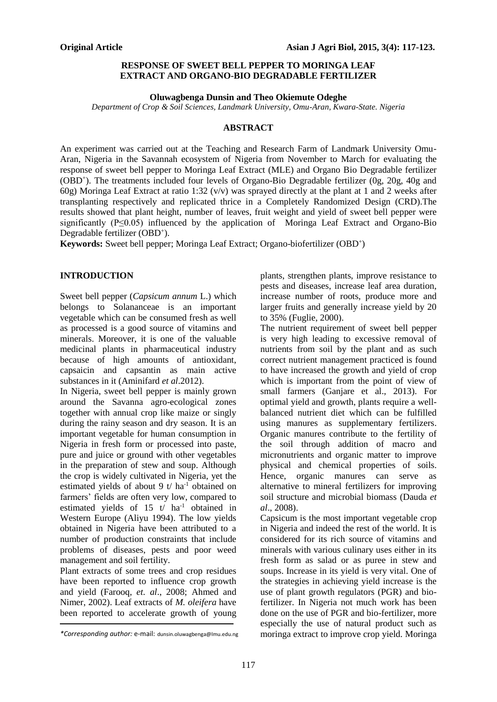## **RESPONSE OF SWEET BELL PEPPER TO MORINGA LEAF EXTRACT AND ORGANO-BIO DEGRADABLE FERTILIZER**

### **Oluwagbenga Dunsin and Theo Okiemute Odeghe**

*Department of Crop & Soil Sciences, Landmark University, Omu-Aran, Kwara-State. Nigeria*

### **ABSTRACT**

An experiment was carried out at the Teaching and Research Farm of Landmark University Omu-Aran, Nigeria in the Savannah ecosystem of Nigeria from November to March for evaluating the response of sweet bell pepper to Moringa Leaf Extract (MLE) and Organo Bio Degradable fertilizer (OBD<sup>+</sup>). The treatments included four levels of Organo-Bio Degradable fertilizer (0g, 20g, 40g and 60g) Moringa Leaf Extract at ratio 1:32 (v/v) was sprayed directly at the plant at 1 and 2 weeks after transplanting respectively and replicated thrice in a Completely Randomized Design (CRD).The results showed that plant height, number of leaves, fruit weight and yield of sweet bell pepper were significantly  $(P \le 0.05)$  influenced by the application of Moringa Leaf Extract and Organo-Bio Degradable fertilizer (OBD<sup>+</sup>).

**Keywords:** Sweet bell pepper; Moringa Leaf Extract; Organo-biofertilizer (OBD<sup>+</sup> )

## **INTRODUCTION**

Sweet bell pepper (*Capsicum annum* L.) which belongs to Solananceae is an important vegetable which can be consumed fresh as well as processed is a good source of vitamins and minerals. Moreover, it is one of the valuable medicinal plants in pharmaceutical industry because of high amounts of antioxidant, capsaicin and capsantin as main active substances in it (Aminifard *et al*.2012).

In Nigeria, sweet bell pepper is mainly grown around the Savanna agro-ecological zones together with annual crop like maize or singly during the rainy season and dry season. It is an important vegetable for human consumption in Nigeria in fresh form or processed into paste, pure and juice or ground with other vegetables in the preparation of stew and soup. Although the crop is widely cultivated in Nigeria, yet the estimated yields of about 9 t/ $ha^{-1}$  obtained on farmers' fields are often very low, compared to estimated vields of  $15 \frac{t}{\text{ha}^{-1}}$  obtained in Western Europe (Aliyu 1994). The low yields obtained in Nigeria have been attributed to a number of production constraints that include problems of diseases, pests and poor weed management and soil fertility.

Plant extracts of some trees and crop residues have been reported to influence crop growth and yield (Farooq, *et. al*., 2008; Ahmed and Nimer, 2002). Leaf extracts of *M. oleifera* have been reported to accelerate growth of young plants, strengthen plants, improve resistance to pests and diseases, increase leaf area duration, increase number of roots, produce more and larger fruits and generally increase yield by 20 to 35% (Fuglie, 2000).

The nutrient requirement of sweet bell pepper is very high leading to excessive removal of nutrients from soil by the plant and as such correct nutrient management practiced is found to have increased the growth and yield of crop which is important from the point of view of small farmers (Ganjare et al., 2013). For optimal yield and growth, plants require a wellbalanced nutrient diet which can be fulfilled using manures as supplementary fertilizers. Organic manures contribute to the fertility of the soil through addition of macro and micronutrients and organic matter to improve physical and chemical properties of soils. Hence, organic manures can serve as alternative to mineral fertilizers for improving soil structure and microbial biomass (Dauda *et al*., 2008).

Capsicum is the most important vegetable crop in Nigeria and indeed the rest of the world. It is considered for its rich source of vitamins and minerals with various culinary uses either in its fresh form as salad or as puree in stew and soups. Increase in its yield is very vital. One of the strategies in achieving yield increase is the use of plant growth regulators (PGR) and biofertilizer. In Nigeria not much work has been done on the use of PGR and bio-fertilizer, more especially the use of natural product such as *\*Corresponding author:* e-mail: dunsin.oluwagbenga@lmu.edu.ng moringa extract to improve crop yield. Moringa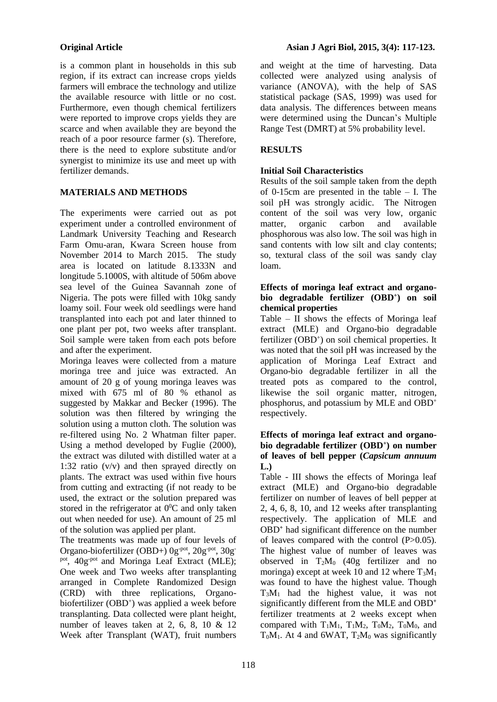is a common plant in households in this sub region, if its extract can increase crops yields farmers will embrace the technology and utilize the available resource with little or no cost. Furthermore, even though chemical fertilizers were reported to improve crops yields they are scarce and when available they are beyond the reach of a poor resource farmer (s). Therefore, there is the need to explore substitute and/or synergist to minimize its use and meet up with fertilizer demands.

# **MATERIALS AND METHODS**

The experiments were carried out as pot experiment under a controlled environment of Landmark University Teaching and Research Farm Omu-aran, Kwara Screen house from November 2014 to March 2015. The study area is located on latitude 8.1333N and longitude 5.1000S, with altitude of 506m above sea level of the Guinea Savannah zone of Nigeria. The pots were filled with 10kg sandy loamy soil. Four week old seedlings were hand transplanted into each pot and later thinned to one plant per pot, two weeks after transplant. Soil sample were taken from each pots before and after the experiment.

Moringa leaves were collected from a mature moringa tree and juice was extracted. An amount of 20 g of young moringa leaves was mixed with 675 ml of 80 % ethanol as suggested by Makkar and Becker (1996). The solution was then filtered by wringing the solution using a mutton cloth. The solution was re-filtered using No. 2 Whatman filter paper. Using a method developed by Fuglie (2000), the extract was diluted with distilled water at a 1:32 ratio (v/v) and then sprayed directly on plants. The extract was used within five hours from cutting and extracting (if not ready to be used, the extract or the solution prepared was stored in the refrigerator at  $0^0C$  and only taken out when needed for use). An amount of 25 ml of the solution was applied per plant.

The treatments was made up of four levels of Organo-biofertilizer (OBD+) 0g-pot, 20g-pot, 30gpot, 40g<sup>-pot</sup> and Moringa Leaf Extract (MLE); One week and Two weeks after transplanting arranged in Complete Randomized Design (CRD) with three replications, Organobiofertilizer (OBD<sup>+</sup>) was applied a week before transplanting. Data collected were plant height, number of leaves taken at 2, 6, 8, 10 & 12 Week after Transplant (WAT), fruit numbers

and weight at the time of harvesting. Data collected were analyzed using analysis of variance (ANOVA), with the help of SAS statistical package (SAS, 1999) was used for data analysis. The differences between means were determined using the Duncan's Multiple Range Test (DMRT) at 5% probability level.

# **RESULTS**

# **Initial Soil Characteristics**

Results of the soil sample taken from the depth of 0-15cm are presented in the table – I. The soil pH was strongly acidic. The Nitrogen content of the soil was very low, organic matter, organic carbon and available phosphorous was also low. The soil was high in sand contents with low silt and clay contents; so, textural class of the soil was sandy clay loam.

## **Effects of moringa leaf extract and organobio degradable fertilizer (OBD<sup>+</sup> ) on soil chemical properties**

Table –  $\overline{II}$  shows the effects of Moringa leaf extract (MLE) and Organo-bio degradable fertilizer (OBD<sup>+</sup>) on soil chemical properties. It was noted that the soil pH was increased by the application of Moringa Leaf Extract and Organo-bio degradable fertilizer in all the treated pots as compared to the control, likewise the soil organic matter, nitrogen, phosphorus, and potassium by MLE and OBD<sup>+</sup> respectively.

## **Effects of moringa leaf extract and organobio degradable fertilizer (OBD<sup>+</sup> ) on number of leaves of bell pepper (***Capsicum annuum* **L.)**

Table - III shows the effects of Moringa leaf extract (MLE) and Organo-bio degradable fertilizer on number of leaves of bell pepper at 2, 4, 6, 8, 10, and 12 weeks after transplanting respectively. The application of MLE and OBD**<sup>+</sup>** had significant difference on the number of leaves compared with the control (P>0.05). The highest value of number of leaves was observed in  $T_2M_0$  (40g fertilizer and no moringa) except at week 10 and 12 where  $T_3M_1$ was found to have the highest value. Though T3M<sup>1</sup> had the highest value, it was not significantly different from the MLE and OBD<sup>+</sup> fertilizer treatments at 2 weeks except when compared with  $T_1M_1$ ,  $T_1M_2$ ,  $T_0M_2$ ,  $T_0M_0$ , and  $T_0M_1$ . At 4 and 6WAT,  $T_2M_0$  was significantly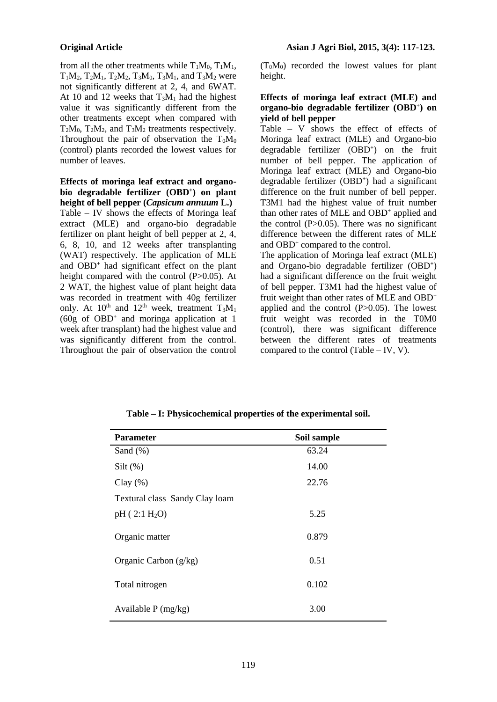from all the other treatments while  $T_1M_0$ ,  $T_1M_1$ ,  $T_1M_2$ ,  $T_2M_1$ ,  $T_2M_2$ ,  $T_3M_0$ ,  $T_3M_1$ , and  $T_3M_2$  were not significantly different at 2, 4, and 6WAT. At 10 and 12 weeks that  $T_3M_1$  had the highest value it was significantly different from the other treatments except when compared with  $T_2M_0$ ,  $T_2M_2$ , and  $T_3M_2$  treatments respectively. Throughout the pair of observation the  $T_0M_0$ (control) plants recorded the lowest values for number of leaves.

**Effects of moringa leaf extract and organobio degradable fertilizer (OBD<sup>+</sup> ) on plant height of bell pepper (***Capsicum annuum* **L.)** Table – IV shows the effects of Moringa leaf extract (MLE) and organo-bio degradable fertilizer on plant height of bell pepper at 2, 4, 6, 8, 10, and 12 weeks after transplanting (WAT) respectively. The application of MLE and OBD**<sup>+</sup>** had significant effect on the plant height compared with the control (P>0.05). At 2 WAT, the highest value of plant height data was recorded in treatment with 40g fertilizer only. At  $10^{th}$  and  $12^{th}$  week, treatment  $T_3M_1$ (60g of OBD<sup>+</sup> and moringa application at 1 week after transplant) had the highest value and was significantly different from the control. Throughout the pair of observation the control

(T0M0) recorded the lowest values for plant height.

### **Effects of moringa leaf extract (MLE) and organo-bio degradable fertilizer (OBD<sup>+</sup> ) on yield of bell pepper**

Table – V shows the effect of effects of Moringa leaf extract (MLE) and Organo-bio degradable fertilizer (OBD<sup>+</sup>) on the fruit number of bell pepper. The application of Moringa leaf extract (MLE) and Organo-bio degradable fertilizer (OBD<sup>+</sup>) had a significant difference on the fruit number of bell pepper. T3M1 had the highest value of fruit number than other rates of MLE and OBD<sup>+</sup> applied and the control  $(P>0.05)$ . There was no significant difference between the different rates of MLE and OBD<sup>+</sup> compared to the control.

The application of Moringa leaf extract (MLE) and Organo-bio degradable fertilizer (OBD<sup>+</sup>) had a significant difference on the fruit weight of bell pepper. T3M1 had the highest value of fruit weight than other rates of MLE and OBD<sup>+</sup> applied and the control (P>0.05). The lowest fruit weight was recorded in the T0M0 (control), there was significant difference between the different rates of treatments compared to the control (Table – IV, V).

| <b>Parameter</b>               | Soil sample |
|--------------------------------|-------------|
| Sand $(\%)$                    | 63.24       |
| $Silt$ (%)                     | 14.00       |
| Clay $(\%)$                    | 22.76       |
| Textural class Sandy Clay loam |             |
| pH(2:1 H <sub>2</sub> O)       | 5.25        |
| Organic matter                 | 0.879       |
| Organic Carbon $(g/kg)$        | 0.51        |
| Total nitrogen                 | 0.102       |
| Available $P$ (mg/kg)          | 3.00        |

**Table – I: Physicochemical properties of the experimental soil.**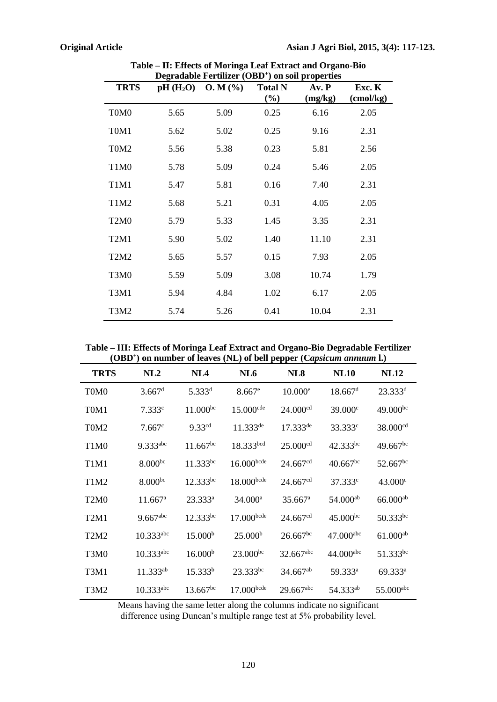| Degradable Fertilizer (OBD') on soil properties |      |                         |                          |                  |                              |
|-------------------------------------------------|------|-------------------------|--------------------------|------------------|------------------------------|
| <b>TRTS</b>                                     |      | $pH(H_2O)$ O. M $(\% )$ | <b>Total N</b><br>$(\%)$ | Av. P<br>(mg/kg) | Exc. K<br>$\text{(cmol/kg)}$ |
| T0M0                                            | 5.65 | 5.09                    | 0.25                     | 6.16             | 2.05                         |
| T <sub>0</sub> M <sub>1</sub>                   | 5.62 | 5.02                    | 0.25                     | 9.16             | 2.31                         |
| T <sub>0</sub> M <sub>2</sub>                   | 5.56 | 5.38                    | 0.23                     | 5.81             | 2.56                         |
| T1M0                                            | 5.78 | 5.09                    | 0.24                     | 5.46             | 2.05                         |
| T1M1                                            | 5.47 | 5.81                    | 0.16                     | 7.40             | 2.31                         |
| T <sub>1</sub> M <sub>2</sub>                   | 5.68 | 5.21                    | 0.31                     | 4.05             | 2.05                         |
| T <sub>2</sub> M <sub>0</sub>                   | 5.79 | 5.33                    | 1.45                     | 3.35             | 2.31                         |
| T <sub>2</sub> M <sub>1</sub>                   | 5.90 | 5.02                    | 1.40                     | 11.10            | 2.31                         |
| T <sub>2</sub> M <sub>2</sub>                   | 5.65 | 5.57                    | 0.15                     | 7.93             | 2.05                         |
| T3M0                                            | 5.59 | 5.09                    | 3.08                     | 10.74            | 1.79                         |
| T3M1                                            | 5.94 | 4.84                    | 1.02                     | 6.17             | 2.05                         |
| T3M2                                            | 5.74 | 5.26                    | 0.41                     | 10.04            | 2.31                         |

**Table – II: Effects of Moringa Leaf Extract and Organo-Bio Degradable Fertilizer (OBD<sup>+</sup> ) on soil properties**

**Table – III: Effects of Moringa Leaf Extract and Organo-Bio Degradable Fertilizer (OBD<sup>+</sup> ) on number of leaves (NL) of bell pepper (C***apsicum annuum* **l.)**

| (ODD) on number of leaves $(NL)$ of beit pepper (Capsicum annumi $L$ ) |                         |                     |                         |                         |                        |                         |
|------------------------------------------------------------------------|-------------------------|---------------------|-------------------------|-------------------------|------------------------|-------------------------|
| <b>TRTS</b>                                                            | NL2                     | NL4                 | NL <sub>6</sub>         | NL <sub>8</sub>         | <b>NL10</b>            | <b>NL12</b>             |
| T <sub>0</sub> M <sub>0</sub>                                          | $3.667$ <sup>d</sup>    | $5.333^{d}$         | $8.667$ <sup>e</sup>    | $10.000$ <sup>e</sup>   | $18.667$ <sup>d</sup>  | $23.333^{d}$            |
| T <sub>0</sub> M <sub>1</sub>                                          | 7.333c                  | $11.000^{bc}$       | $15.000$ <sup>cde</sup> | 24.000 <sup>cd</sup>    | 39.000 <sup>c</sup>    | $49.000^{bc}$           |
| T0M2                                                                   | $7.667^{\circ}$         | 9.33cd              | $11.333^{de}$           | $17.333^{de}$           | 33.333 <sup>c</sup>    | 38.000 <sup>cd</sup>    |
| T1M0                                                                   | $9.333^{abc}$           | $11.667^{bc}$       | 18.333bcd               | 25.000 <sup>cd</sup>    | 42.333bc               | $49.667^{bc}$           |
| T1M1                                                                   | 8.000 <sup>bc</sup>     | $11.333^{bc}$       | $16.000$ bcde           | 24.667 <sup>cd</sup>    | $40.667$ <sup>bc</sup> | $52.667$ <sup>bc</sup>  |
| T1M2                                                                   | 8.000 <sup>bc</sup>     | $12.333^{bc}$       | $18.000$ bcde           | 24.667 <sup>cd</sup>    | 37.333 <sup>c</sup>    | $43.000^{\circ}$        |
| T <sub>2</sub> M <sub>0</sub>                                          | $11.667^{\rm a}$        | $23.333^a$          | $34.000^a$              | $35.667$ <sup>a</sup>   | $54.000^{ab}$          | $66.000^{ab}$           |
| T <sub>2</sub> M <sub>1</sub>                                          | $9.667$ <sup>abc</sup>  | $12.333^{bc}$       | 17.000bcde              | 24.667 <sup>cd</sup>    | $45.000^{bc}$          | $50.333^{bc}$           |
| T <sub>2</sub> M <sub>2</sub>                                          | $10.333^{abc}$          | 15.000 <sup>b</sup> | 25.000 <sup>b</sup>     | $26.667^{bc}$           | $47.000$ abc           | $61.000^{ab}$           |
| T3M0                                                                   | $10.333a$ <sup>bc</sup> | 16.000 <sup>b</sup> | $23.000^{bc}$           | 32.667abc               | $44.000$ abc           | 51.333bc                |
| T3M1                                                                   | $11.333^{ab}$           | 15.333 <sup>b</sup> | $23.333^{bc}$           | $34.667$ <sup>ab</sup>  | 59.333 <sup>a</sup>    | $69.333^a$              |
| T3M2                                                                   | $10.333a$ <sup>bc</sup> | $13.667^{bc}$       | $17.000$ bcde           | $29.667$ <sup>abc</sup> | 54.333ab               | $55.000$ <sup>abc</sup> |

Means having the same letter along the columns indicate no significant difference using Duncan's multiple range test at 5% probability level.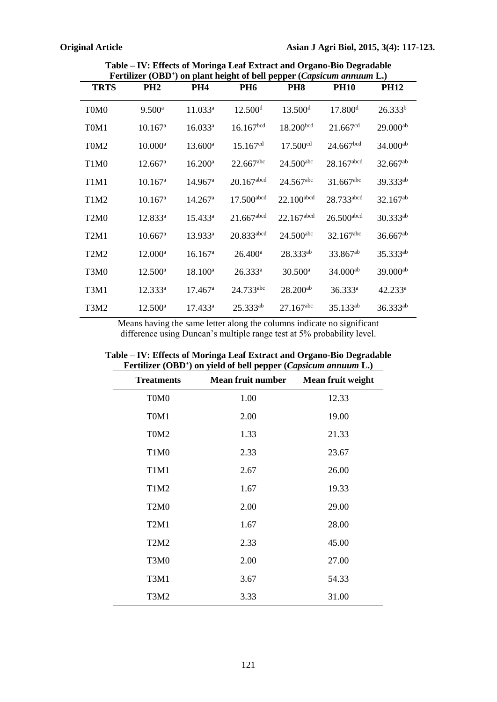| Fertilizer (OBD <sup>+</sup> ) on plant height of bell pepper ( <i>Capsicum annuum L</i> .) |                       |                       |                          |                         |                          |                        |
|---------------------------------------------------------------------------------------------|-----------------------|-----------------------|--------------------------|-------------------------|--------------------------|------------------------|
| <b>TRTS</b>                                                                                 | PH <sub>2</sub>       | PH4                   | <b>PH6</b>               | <b>PH8</b>              | <b>PH10</b>              | <b>PH12</b>            |
| T <sub>0</sub> M <sub>0</sub>                                                               | $9.500$ <sup>a</sup>  | $11.033^a$            | 12.500 <sup>d</sup>      | 13.500 <sup>d</sup>     | 17.800 <sup>d</sup>      | 26.333 <sup>b</sup>    |
| T <sub>0</sub> M <sub>1</sub>                                                               | $10.167^{\rm a}$      | $16.033^a$            | 16.167 <sup>bcd</sup>    | 18.200 <sup>bcd</sup>   | 21.667 <sup>cd</sup>     | $29.000^{ab}$          |
| T <sub>0</sub> M <sub>2</sub>                                                               | $10.000^{\rm a}$      | $13.600^{\rm a}$      | 15.167 <sup>cd</sup>     | 17.500 <sup>cd</sup>    | 24.667 <sup>bcd</sup>    | $34.000^{ab}$          |
| T <sub>1</sub> M <sub>0</sub>                                                               | 12.667 <sup>a</sup>   | $16.200^a$            | $22.667$ <sup>abc</sup>  | $24.500$ <sup>abc</sup> | $28.167$ abcd            | 32.667ab               |
| T <sub>1</sub> M <sub>1</sub>                                                               | $10.167^{\rm a}$      | $14.967$ <sup>a</sup> | $20.167$ abcd            | $24.567$ <sup>abc</sup> | $31.667$ <sup>abc</sup>  | 39.333 <sup>ab</sup>   |
| T1M2                                                                                        | $10.167^{\circ}$      | $14.267$ <sup>a</sup> | $17.500$ <sup>abcd</sup> | $22.100$ abcd           | 28.733abcd               | $32.167^{ab}$          |
| T <sub>2</sub> M <sub>0</sub>                                                               | $12.833^a$            | $15.433^{a}$          | $21.667$ abcd            | 22.167abcd              | $26.500$ <sup>abcd</sup> | $30.333^{ab}$          |
| T2M1                                                                                        | $10.667$ <sup>a</sup> | 13.933 <sup>a</sup>   | 20.833abcd               | $24.500$ <sup>abc</sup> | 32.167abc                | $36.667$ <sup>ab</sup> |
| T <sub>2</sub> M <sub>2</sub>                                                               | $12.000^{\rm a}$      | $16.167^{\rm a}$      | $26.400^{\circ}$         | 28.333ab                | 33.867 <sup>ab</sup>     | 35.333ab               |
| T3M0                                                                                        | $12.500^{\circ}$      | $18.100^a$            | $26.333^{a}$             | $30.500^{\rm a}$        | $34.000^{ab}$            | $39.000^{ab}$          |
| T3M1                                                                                        | 12.333 <sup>a</sup>   | $17.467^{\rm a}$      | $24.733$ <sup>abc</sup>  | $28.200^{ab}$           | 36.333 <sup>a</sup>      | $42.233^a$             |
| T3M2                                                                                        | $12.500^{\text{a}}$   | $17.433^a$            | $25.333^{ab}$            | $27.167$ <sup>abc</sup> | 35.133 <sup>ab</sup>     | $36.333^{ab}$          |

**Table – IV: Effects of Moringa Leaf Extract and Organo-Bio Degradable Fertilizer (OBD<sup>+</sup> ) on plant height of bell pepper (***Capsicum annuum* **L.)**

Means having the same letter along the columns indicate no significant difference using Duncan's multiple range test at 5% probability level.

| <b>Treatments</b>             | <b>Example (ODD</b> ) on figure of bein pepper (capsically alliant $\mathbf{L}$ )<br><b>Mean fruit number</b> | Mean fruit weight |
|-------------------------------|---------------------------------------------------------------------------------------------------------------|-------------------|
| T0M0                          | 1.00                                                                                                          | 12.33             |
| T <sub>0</sub> M <sub>1</sub> | 2.00                                                                                                          | 19.00             |
| T <sub>0</sub> M <sub>2</sub> | 1.33                                                                                                          | 21.33             |
| T1M0                          | 2.33                                                                                                          | 23.67             |
| T1M1                          | 2.67                                                                                                          | 26.00             |
| T1M2                          | 1.67                                                                                                          | 19.33             |
| T <sub>2</sub> M <sub>0</sub> | 2.00                                                                                                          | 29.00             |
| T <sub>2</sub> M <sub>1</sub> | 1.67                                                                                                          | 28.00             |
| T <sub>2</sub> M <sub>2</sub> | 2.33                                                                                                          | 45.00             |
| T3M0                          | 2.00                                                                                                          | 27.00             |
| T3M1                          | 3.67                                                                                                          | 54.33             |
| T3M2                          | 3.33                                                                                                          | 31.00             |

**Table – IV: Effects of Moringa Leaf Extract and Organo-Bio Degradable Fertilizer (OBD<sup>+</sup> ) on yield of bell pepper (***Capsicum annuum* **L.)**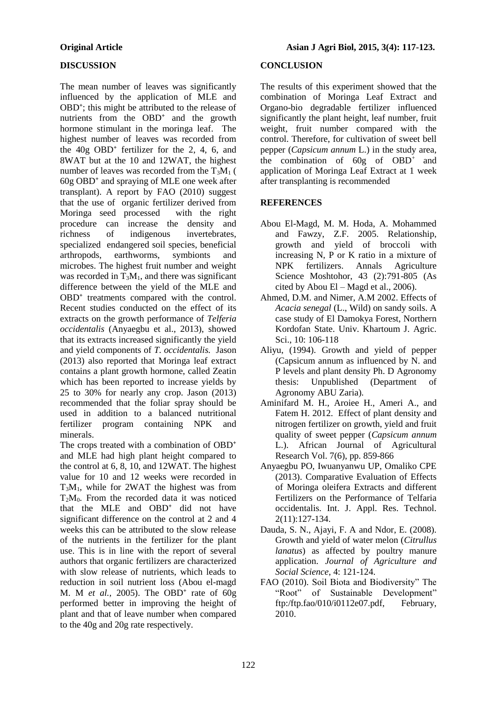## **DISCUSSION**

The mean number of leaves was significantly influenced by the application of MLE and OBD<sup>+</sup>; this might be attributed to the release of nutrients from the OBD<sup>+</sup> and the growth hormone stimulant in the moringa leaf. The highest number of leaves was recorded from the 40g OBD**<sup>+</sup>** fertilizer for the 2, 4, 6, and 8WAT but at the 10 and 12WAT, the highest number of leaves was recorded from the  $T_3M_1$  ( 60g OBD**<sup>+</sup>** and spraying of MLE one week after transplant). A report by FAO (2010) suggest that the use of organic fertilizer derived from Moringa seed processed with the right procedure can increase the density and richness of indigenous invertebrates, specialized endangered soil species, beneficial arthropods, earthworms, symbionts and microbes. The highest fruit number and weight was recorded in  $T_3M_1$ , and there was significant difference between the yield of the MLE and OBD<sup>+</sup> treatments compared with the control. Recent studies conducted on the effect of its extracts on the growth performance of *Telferia occidentalis* (Anyaegbu et al., 2013), showed that its extracts increased significantly the yield and yield components of *T. occidentalis.* Jason (2013) also reported that Moringa leaf extract contains a plant growth hormone, called Zeatin which has been reported to increase yields by 25 to 30% for nearly any crop. Jason (2013) recommended that the foliar spray should be used in addition to a balanced nutritional fertilizer program containing NPK and minerals.

The crops treated with a combination of OBD<sup>+</sup> and MLE had high plant height compared to the control at 6, 8, 10, and 12WAT. The highest value for 10 and 12 weeks were recorded in T3M1, while for 2WAT the highest was from  $T_2M_0$ . From the recorded data it was noticed that the MLE and OBD<sup>+</sup> did not have significant difference on the control at 2 and 4 weeks this can be attributed to the slow release of the nutrients in the fertilizer for the plant use. This is in line with the report of several authors that organic fertilizers are characterized with slow release of nutrients, which leads to reduction in soil nutrient loss (Abou el-magd M. M *et al.,* 2005). The OBD**<sup>+</sup>** rate of 60g performed better in improving the height of plant and that of leave number when compared to the 40g and 20g rate respectively.

# **CONCLUSION**

The results of this experiment showed that the combination of Moringa Leaf Extract and Organo-bio degradable fertilizer influenced significantly the plant height, leaf number, fruit weight, fruit number compared with the control. Therefore, for cultivation of sweet bell pepper (*Capsicum annum* L.) in the study area, the combination of 60g of OBD<sup>+</sup> and application of Moringa Leaf Extract at 1 week after transplanting is recommended

# **REFERENCES**

- Abou El-Magd, M. M. Hoda, A. Mohammed and Fawzy, Z.F. 2005. Relationship, growth and yield of broccoli with increasing N, P or K ratio in a mixture of NPK fertilizers. Annals Agriculture Science Moshtohor, 43 (2):791-805 (As cited by Abou El – Magd et al., 2006).
- Ahmed, D.M. and Nimer, A.M 2002. Effects of *Acacia senegal* (L., Wild) on sandy soils. A case study of El Damokya Forest, Northern Kordofan State. Univ. Khartoum J. Agric. Sci., 10: 106-118
- Aliyu, (1994). Growth and yield of pepper (Capsicum annum as influenced by N. and P levels and plant density Ph. D Agronomy thesis: Unpublished (Department of Agronomy ABU Zaria).
- Aminifard M. H., Aroiee H., Ameri A., and Fatem H. 2012. Effect of plant density and nitrogen fertilizer on growth, yield and fruit quality of sweet pepper (*Capsicum annum*  L.). African Journal of Agricultural Research Vol. 7(6), pp. 859-866
- Anyaegbu PO, Iwuanyanwu UP, Omaliko CPE (2013). Comparative Evaluation of Effects of Moringa oleifera Extracts and different Fertilizers on the Performance of Telfaria occidentalis. Int. J. Appl. Res. Technol. 2(11):127-134.
- Dauda, S. N., Ajayi, F. A and Ndor, E. (2008). Growth and yield of water melon (*Citrullus lanatus*) as affected by poultry manure application. *Journal of Agriculture and Social Science*, 4: 121-124.
- FAO (2010). Soil Biota and Biodiversity" The "Root" of Sustainable Development" ftp:/ftp.fao/010/i0112e07.pdf, February, 2010.